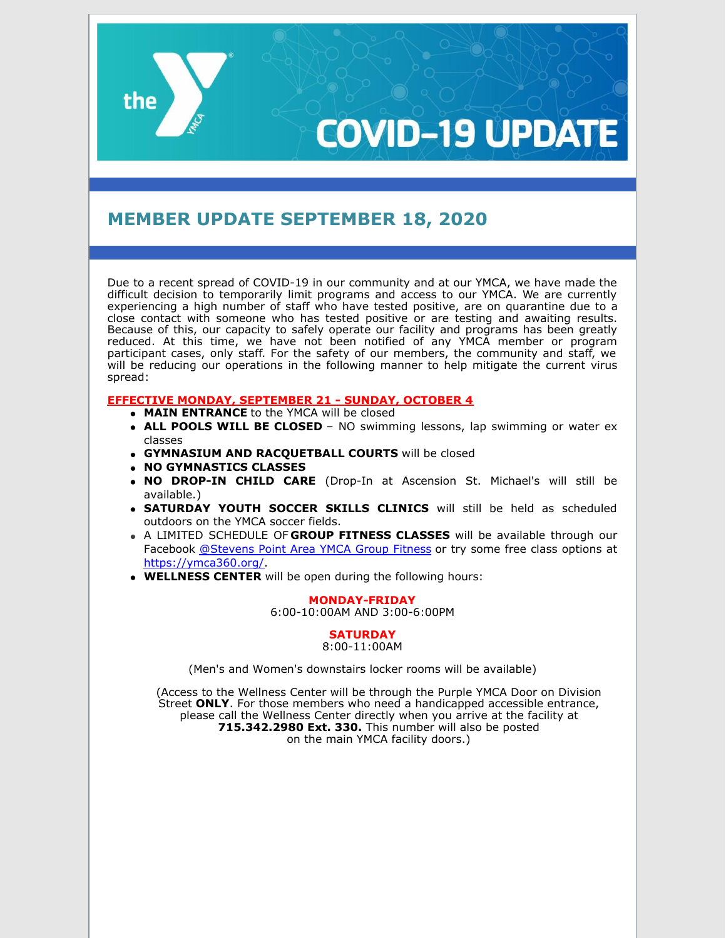# **COVID-19 UPDAT**

# **MEMBER UPDATE SEPTEMBER 18, 2020**

Due to a recent spread of COVID-19 in our community and at our YMCA, we have made the difficult decision to temporarily limit programs and access to our YMCA. We are currently experiencing a high number of staff who have tested positive, are on quarantine due to a close contact with someone who has tested positive or are testing and awaiting results. Because of this, our capacity to safely operate our facility and programs has been greatly reduced. At this time, we have not been notified of any YMCA member or program participant cases, only staff. For the safety of our members, the community and staff, we will be reducing our operations in the following manner to help mitigate the current virus spread:

# **EFFECTIVE MONDAY, SEPTEMBER 21 - SUNDAY, OCTOBER 4**

- **MAIN ENTRANCE** to the YMCA will be closed
- **ALL POOLS WILL BE CLOSED** NO swimming lessons, lap swimming or water ex classes
- **GYMNASIUM AND RACQUETBALL COURTS** will be closed
- **NO GYMNASTICS CLASSES**

the

- **NO DROP-IN CHILD CARE** (Drop-In at Ascension St. Michael's will still be available.)
- **SATURDAY YOUTH SOCCER SKILLS CLINICS** will still be held as scheduled outdoors on the YMCA soccer fields.
- A LIMITED SCHEDULE OF **GROUP FITNESS CLASSES** will be available through our Facebook [@Stevens](https://www.facebook.com/groups/1477830565598787) Point Area YMCA Group Fitness or try some free class options at <https://ymca360.org/>.
- **WELLNESS CENTER** will be open during the following hours:

#### **MONDAY-FRIDAY**

6:00-10:00AM AND 3:00-6:00PM

# **SATURDAY**

8:00-11:00AM

(Men's and Women's downstairs locker rooms will be available)

(Access to the Wellness Center will be through the Purple YMCA Door on Division Street **ONLY**. For those members who need a handicapped accessible entrance, please call the Wellness Center directly when you arrive at the facility at **715.342.2980 Ext. 330.** This number will also be posted on the main YMCA facility doors.)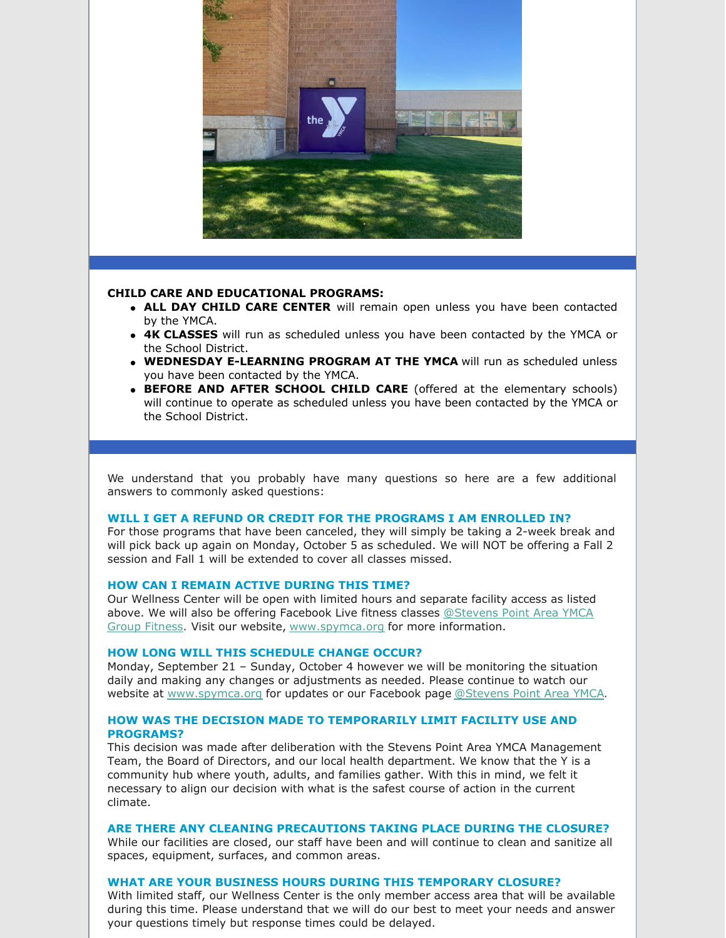

#### **CHILD CARE AND EDUCATIONAL PROGRAMS:**

- **ALL DAY CHILD CARE CENTER** will remain open unless you have been contacted by the YMCA.
- **4K CLASSES** will run as scheduled unless you have been contacted by the YMCA or the School District.
- **WEDNESDAY E-LEARNING PROGRAM AT THE YMCA** will run as scheduled unless you have been contacted by the YMCA.
- **BEFORE AND AFTER SCHOOL CHILD CARE** (offered at the elementary schools) will continue to operate as scheduled unless you have been contacted by the YMCA or the School District.

We understand that you probably have many questions so here are a few additional answers to commonly asked questions:

# **WILL I GET A REFUND OR CREDIT FOR THE PROGRAMS I AM ENROLLED IN?**

For those programs that have been canceled, they will simply be taking a 2-week break and will pick back up again on Monday, October 5 as scheduled. We will NOT be offering a Fall 2 session and Fall 1 will be extended to cover all classes missed.

# **HOW CAN I REMAIN ACTIVE DURING THIS TIME?**

Our Wellness Center will be open with limited hours and separate facility access as listed above. We will also be offering Facebook Live fitness classes @Stevens Point Area YMCA Group Fitness. Visit our website, [www.spymca.org](https://www.facebook.com/groups/1477830565598787) for more information.

#### **HOW LONG WILL THIS SCHEDULE CHANGE OCCUR?**

Monday, September 21 – Sunday, October 4 however we will be monitoring the situation daily and making any changes or adjustments as needed. Please continue to watch our website at [www.spymca.org](http://www.spymca.org/) for updates or our Facebook page [@Stevens](https://www.facebook.com/spymca) Point Area YMCA.

# **HOW WAS THE DECISION MADE TO TEMPORARILY LIMIT FACILITY USE AND PROGRAMS?**

This decision was made after deliberation with the Stevens Point Area YMCA Management Team, the Board of Directors, and our local health department. We know that the Y is a community hub where youth, adults, and families gather. With this in mind, we felt it necessary to align our decision with what is the safest course of action in the current climate.

#### **ARE THERE ANY CLEANING PRECAUTIONS TAKING PLACE DURING THE CLOSURE?**

While our facilities are closed, our staff have been and will continue to clean and sanitize all spaces, equipment, surfaces, and common areas.

# **WHAT ARE YOUR BUSINESS HOURS DURING THIS TEMPORARY CLOSURE?**

With limited staff, our Wellness Center is the only member access area that will be available during this time. Please understand that we will do our best to meet your needs and answer your questions timely but response times could be delayed.